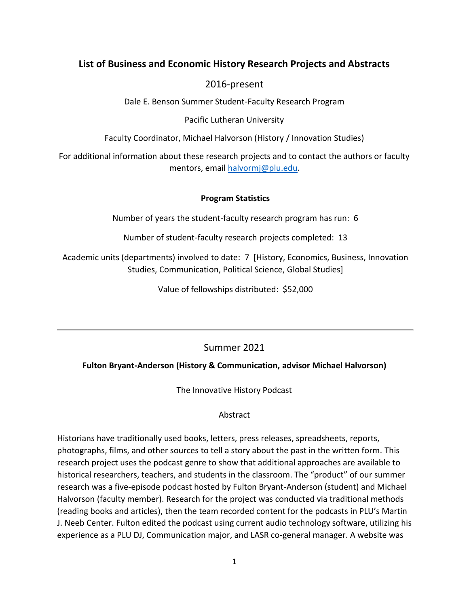# **List of Business and Economic History Research Projects and Abstracts**

2016-present

Dale E. Benson Summer Student-Faculty Research Program

Pacific Lutheran University

Faculty Coordinator, Michael Halvorson (History / Innovation Studies)

For additional information about these research projects and to contact the authors or faculty mentors, email halvormj@plu.edu.

# **Program Statistics**

Number of years the student-faculty research program has run: 6

Number of student-faculty research projects completed: 13

Academic units (departments) involved to date: 7 [History, Economics, Business, Innovation Studies, Communication, Political Science, Global Studies]

Value of fellowships distributed: \$52,000

# Summer 2021

# **Fulton Bryant-Anderson (History & Communication, advisor Michael Halvorson)**

The Innovative History Podcast

### Abstract

Historians have traditionally used books, letters, press releases, spreadsheets, reports, photographs, films, and other sources to tell a story about the past in the written form. This research project uses the podcast genre to show that additional approaches are available to historical researchers, teachers, and students in the classroom. The "product" of our summer research was a five-episode podcast hosted by Fulton Bryant-Anderson (student) and Michael Halvorson (faculty member). Research for the project was conducted via traditional methods (reading books and articles), then the team recorded content for the podcasts in PLU's Martin J. Neeb Center. Fulton edited the podcast using current audio technology software, utilizing his experience as a PLU DJ, Communication major, and LASR co-general manager. A website was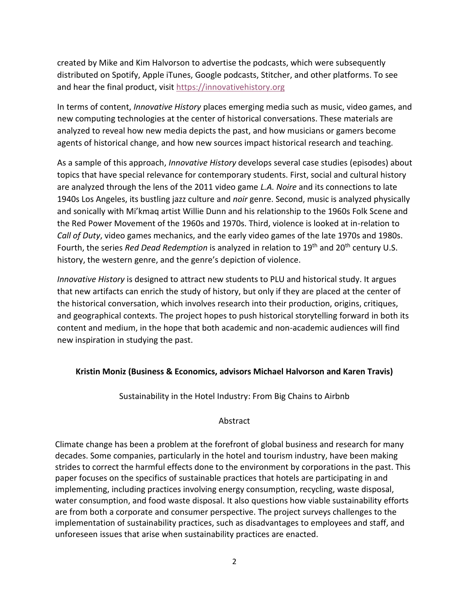created by Mike and Kim Halvorson to advertise the podcasts, which were subsequently distributed on Spotify, Apple iTunes, Google podcasts, Stitcher, and other platforms. To see and hear the final product, visit [https://innovativehistory.org](https://innovativehistory.org/)

In terms of content, *Innovative History* places emerging media such as music, video games, and new computing technologies at the center of historical conversations. These materials are analyzed to reveal how new media depicts the past, and how musicians or gamers become agents of historical change, and how new sources impact historical research and teaching.

As a sample of this approach, *Innovative History* develops several case studies (episodes) about topics that have special relevance for contemporary students. First, social and cultural history are analyzed through the lens of the 2011 video game *L.A. Noire* and its connections to late 1940s Los Angeles, its bustling jazz culture and *noir* genre. Second, music is analyzed physically and sonically with Mi'kmaq artist Willie Dunn and his relationship to the 1960s Folk Scene and the Red Power Movement of the 1960s and 1970s. Third, violence is looked at in-relation to *Call of Duty*, video games mechanics, and the early video games of the late 1970s and 1980s. Fourth, the series *Red Dead Redemption* is analyzed in relation to 19<sup>th</sup> and 20<sup>th</sup> century U.S. history, the western genre, and the genre's depiction of violence.

*Innovative History* is designed to attract new students to PLU and historical study. It argues that new artifacts can enrich the study of history, but only if they are placed at the center of the historical conversation, which involves research into their production, origins, critiques, and geographical contexts. The project hopes to push historical storytelling forward in both its content and medium, in the hope that both academic and non-academic audiences will find new inspiration in studying the past.

#### **Kristin Moniz (Business & Economics, advisors Michael Halvorson and Karen Travis)**

Sustainability in the Hotel Industry: From Big Chains to Airbnb

## Abstract

Climate change has been a problem at the forefront of global business and research for many decades. Some companies, particularly in the hotel and tourism industry, have been making strides to correct the harmful effects done to the environment by corporations in the past. This paper focuses on the specifics of sustainable practices that hotels are participating in and implementing, including practices involving energy consumption, recycling, waste disposal, water consumption, and food waste disposal. It also questions how viable sustainability efforts are from both a corporate and consumer perspective. The project surveys challenges to the implementation of sustainability practices, such as disadvantages to employees and staff, and unforeseen issues that arise when sustainability practices are enacted.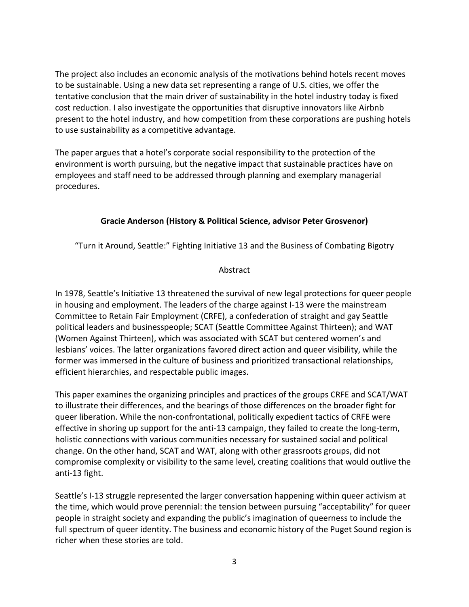The project also includes an economic analysis of the motivations behind hotels recent moves to be sustainable. Using a new data set representing a range of U.S. cities, we offer the tentative conclusion that the main driver of sustainability in the hotel industry today is fixed cost reduction. I also investigate the opportunities that disruptive innovators like Airbnb present to the hotel industry, and how competition from these corporations are pushing hotels to use sustainability as a competitive advantage.

The paper argues that a hotel's corporate social responsibility to the protection of the environment is worth pursuing, but the negative impact that sustainable practices have on employees and staff need to be addressed through planning and exemplary managerial procedures.

# **Gracie Anderson (History & Political Science, advisor Peter Grosvenor)**

"Turn it Around, Seattle:" Fighting Initiative 13 and the Business of Combating Bigotry

## Abstract

In 1978, Seattle's Initiative 13 threatened the survival of new legal protections for queer people in housing and employment. The leaders of the charge against I-13 were the mainstream Committee to Retain Fair Employment (CRFE), a confederation of straight and gay Seattle political leaders and businesspeople; SCAT (Seattle Committee Against Thirteen); and WAT (Women Against Thirteen), which was associated with SCAT but centered women's and lesbians' voices. The latter organizations favored direct action and queer visibility, while the former was immersed in the culture of business and prioritized transactional relationships, efficient hierarchies, and respectable public images.

This paper examines the organizing principles and practices of the groups CRFE and SCAT/WAT to illustrate their differences, and the bearings of those differences on the broader fight for queer liberation. While the non-confrontational, politically expedient tactics of CRFE were effective in shoring up support for the anti-13 campaign, they failed to create the long-term, holistic connections with various communities necessary for sustained social and political change. On the other hand, SCAT and WAT, along with other grassroots groups, did not compromise complexity or visibility to the same level, creating coalitions that would outlive the anti-13 fight.

Seattle's I-13 struggle represented the larger conversation happening within queer activism at the time, which would prove perennial: the tension between pursuing "acceptability" for queer people in straight society and expanding the public's imagination of queerness to include the full spectrum of queer identity. The business and economic history of the Puget Sound region is richer when these stories are told.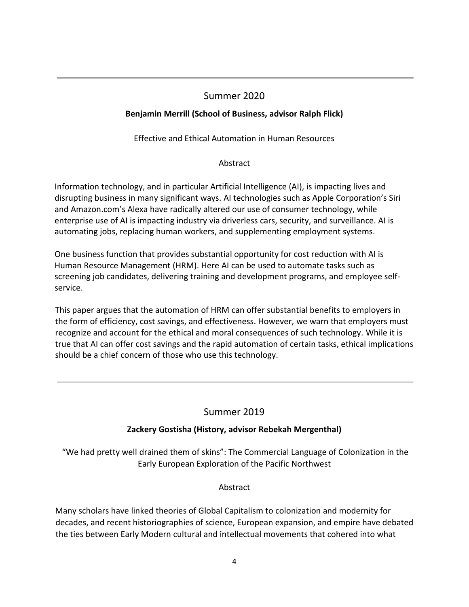# Summer 2020

# **Benjamin Merrill (School of Business, advisor Ralph Flick)**

Effective and Ethical Automation in Human Resources

# Abstract

Information technology, and in particular Artificial Intelligence (AI), is impacting lives and disrupting business in many significant ways. AI technologies such as Apple Corporation's Siri and Amazon.com's Alexa have radically altered our use of consumer technology, while enterprise use of AI is impacting industry via driverless cars, security, and surveillance. AI is automating jobs, replacing human workers, and supplementing employment systems.

One business function that provides substantial opportunity for cost reduction with AI is Human Resource Management (HRM). Here AI can be used to automate tasks such as screening job candidates, delivering training and development programs, and employee selfservice.

This paper argues that the automation of HRM can offer substantial benefits to employers in the form of efficiency, cost savings, and effectiveness. However, we warn that employers must recognize and account for the ethical and moral consequences of such technology. While it is true that AI can offer cost savings and the rapid automation of certain tasks, ethical implications should be a chief concern of those who use this technology.

# Summer 2019

# **Zackery Gostisha (History, advisor Rebekah Mergenthal)**

"We had pretty well drained them of skins": The Commercial Language of Colonization in the Early European Exploration of the Pacific Northwest

# Abstract

Many scholars have linked theories of Global Capitalism to colonization and modernity for decades, and recent historiographies of science, European expansion, and empire have debated the ties between Early Modern cultural and intellectual movements that cohered into what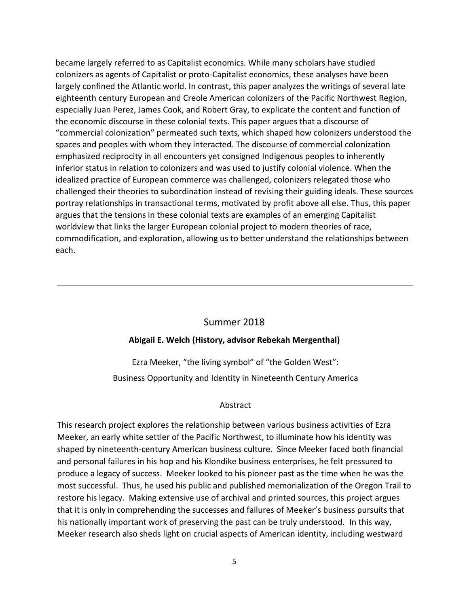became largely referred to as Capitalist economics. While many scholars have studied colonizers as agents of Capitalist or proto-Capitalist economics, these analyses have been largely confined the Atlantic world. In contrast, this paper analyzes the writings of several late eighteenth century European and Creole American colonizers of the Pacific Northwest Region, especially Juan Perez, James Cook, and Robert Gray, to explicate the content and function of the economic discourse in these colonial texts. This paper argues that a discourse of "commercial colonization" permeated such texts, which shaped how colonizers understood the spaces and peoples with whom they interacted. The discourse of commercial colonization emphasized reciprocity in all encounters yet consigned Indigenous peoples to inherently inferior status in relation to colonizers and was used to justify colonial violence. When the idealized practice of European commerce was challenged, colonizers relegated those who challenged their theories to subordination instead of revising their guiding ideals. These sources portray relationships in transactional terms, motivated by profit above all else. Thus, this paper argues that the tensions in these colonial texts are examples of an emerging Capitalist worldview that links the larger European colonial project to modern theories of race, commodification, and exploration, allowing us to better understand the relationships between each.

### Summer 2018

### **Abigail E. Welch (History, advisor Rebekah Mergenthal)**

Ezra Meeker, "the living symbol" of "the Golden West": Business Opportunity and Identity in Nineteenth Century America

### Abstract

This research project explores the relationship between various business activities of Ezra Meeker, an early white settler of the Pacific Northwest, to illuminate how his identity was shaped by nineteenth-century American business culture. Since Meeker faced both financial and personal failures in his hop and his Klondike business enterprises, he felt pressured to produce a legacy of success. Meeker looked to his pioneer past as the time when he was the most successful. Thus, he used his public and published memorialization of the Oregon Trail to restore his legacy. Making extensive use of archival and printed sources, this project argues that it is only in comprehending the successes and failures of Meeker's business pursuits that his nationally important work of preserving the past can be truly understood. In this way, Meeker research also sheds light on crucial aspects of American identity, including westward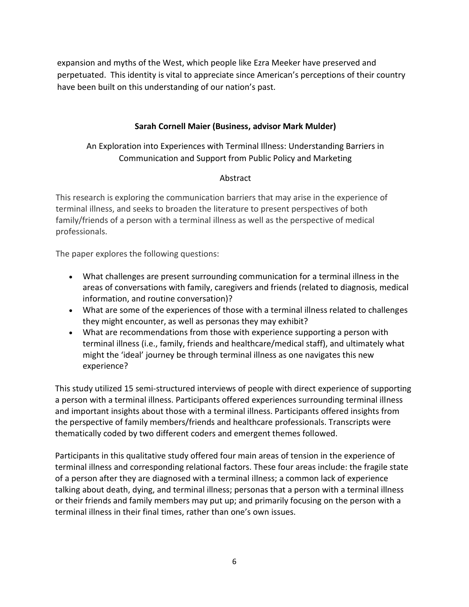expansion and myths of the West, which people like Ezra Meeker have preserved and perpetuated. This identity is vital to appreciate since American's perceptions of their country have been built on this understanding of our nation's past.

## **Sarah Cornell Maier (Business, advisor Mark Mulder)**

An Exploration into Experiences with Terminal Illness: Understanding Barriers in Communication and Support from Public Policy and Marketing

### Abstract

This research is exploring the communication barriers that may arise in the experience of terminal illness, and seeks to broaden the literature to present perspectives of both family/friends of a person with a terminal illness as well as the perspective of medical professionals.

The paper explores the following questions:

- What challenges are present surrounding communication for a terminal illness in the areas of conversations with family, caregivers and friends (related to diagnosis, medical information, and routine conversation)?
- What are some of the experiences of those with a terminal illness related to challenges they might encounter, as well as personas they may exhibit?
- What are recommendations from those with experience supporting a person with terminal illness (i.e., family, friends and healthcare/medical staff), and ultimately what might the 'ideal' journey be through terminal illness as one navigates this new experience?

This study utilized 15 semi-structured interviews of people with direct experience of supporting a person with a terminal illness. Participants offered experiences surrounding terminal illness and important insights about those with a terminal illness. Participants offered insights from the perspective of family members/friends and healthcare professionals. Transcripts were thematically coded by two different coders and emergent themes followed.

Participants in this qualitative study offered four main areas of tension in the experience of terminal illness and corresponding relational factors. These four areas include: the fragile state of a person after they are diagnosed with a terminal illness; a common lack of experience talking about death, dying, and terminal illness; personas that a person with a terminal illness or their friends and family members may put up; and primarily focusing on the person with a terminal illness in their final times, rather than one's own issues.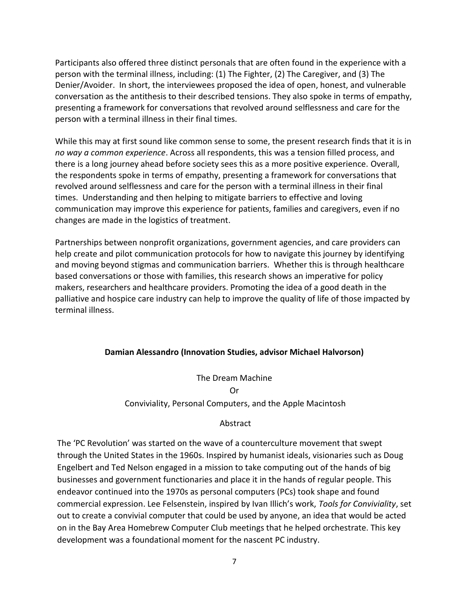Participants also offered three distinct personals that are often found in the experience with a person with the terminal illness, including: (1) The Fighter, (2) The Caregiver, and (3) The Denier/Avoider. In short, the interviewees proposed the idea of open, honest, and vulnerable conversation as the antithesis to their described tensions. They also spoke in terms of empathy, presenting a framework for conversations that revolved around selflessness and care for the person with a terminal illness in their final times.

While this may at first sound like common sense to some, the present research finds that it is in *no way a common experience*. Across all respondents, this was a tension filled process, and there is a long journey ahead before society sees this as a more positive experience. Overall, the respondents spoke in terms of empathy, presenting a framework for conversations that revolved around selflessness and care for the person with a terminal illness in their final times. Understanding and then helping to mitigate barriers to effective and loving communication may improve this experience for patients, families and caregivers, even if no changes are made in the logistics of treatment.

Partnerships between nonprofit organizations, government agencies, and care providers can help create and pilot communication protocols for how to navigate this journey by identifying and moving beyond stigmas and communication barriers. Whether this is through healthcare based conversations or those with families, this research shows an imperative for policy makers, researchers and healthcare providers. Promoting the idea of a good death in the palliative and hospice care industry can help to improve the quality of life of those impacted by terminal illness.

#### **Damian Alessandro (Innovation Studies, advisor Michael Halvorson)**

The Dream Machine Or

#### Conviviality, Personal Computers, and the Apple Macintosh

#### Abstract

The 'PC Revolution' was started on the wave of a counterculture movement that swept through the United States in the 1960s. Inspired by humanist ideals, visionaries such as Doug Engelbert and Ted Nelson engaged in a mission to take computing out of the hands of big businesses and government functionaries and place it in the hands of regular people. This endeavor continued into the 1970s as personal computers (PCs) took shape and found commercial expression. Lee Felsenstein, inspired by Ivan Illich's work, *Tools for Conviviality*, set out to create a convivial computer that could be used by anyone, an idea that would be acted on in the Bay Area Homebrew Computer Club meetings that he helped orchestrate. This key development was a foundational moment for the nascent PC industry.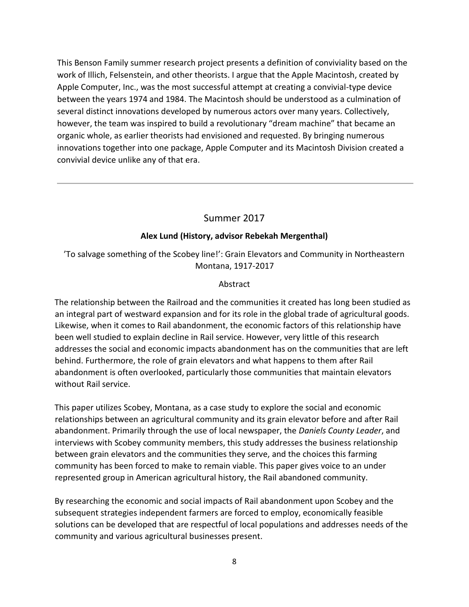This Benson Family summer research project presents a definition of conviviality based on the work of Illich, Felsenstein, and other theorists. I argue that the Apple Macintosh, created by Apple Computer, Inc., was the most successful attempt at creating a convivial-type device between the years 1974 and 1984. The Macintosh should be understood as a culmination of several distinct innovations developed by numerous actors over many years. Collectively, however, the team was inspired to build a revolutionary "dream machine" that became an organic whole, as earlier theorists had envisioned and requested. By bringing numerous innovations together into one package, Apple Computer and its Macintosh Division created a convivial device unlike any of that era.

## Summer 2017

### **Alex Lund (History, advisor Rebekah Mergenthal)**

'To salvage something of the Scobey line!': Grain Elevators and Community in Northeastern Montana, 1917-2017

#### Abstract

The relationship between the Railroad and the communities it created has long been studied as an integral part of westward expansion and for its role in the global trade of agricultural goods. Likewise, when it comes to Rail abandonment, the economic factors of this relationship have been well studied to explain decline in Rail service. However, very little of this research addresses the social and economic impacts abandonment has on the communities that are left behind. Furthermore, the role of grain elevators and what happens to them after Rail abandonment is often overlooked, particularly those communities that maintain elevators without Rail service.

This paper utilizes Scobey, Montana, as a case study to explore the social and economic relationships between an agricultural community and its grain elevator before and after Rail abandonment. Primarily through the use of local newspaper, the *Daniels County Leader*, and interviews with Scobey community members, this study addresses the business relationship between grain elevators and the communities they serve, and the choices this farming community has been forced to make to remain viable. This paper gives voice to an under represented group in American agricultural history, the Rail abandoned community.

By researching the economic and social impacts of Rail abandonment upon Scobey and the subsequent strategies independent farmers are forced to employ, economically feasible solutions can be developed that are respectful of local populations and addresses needs of the community and various agricultural businesses present.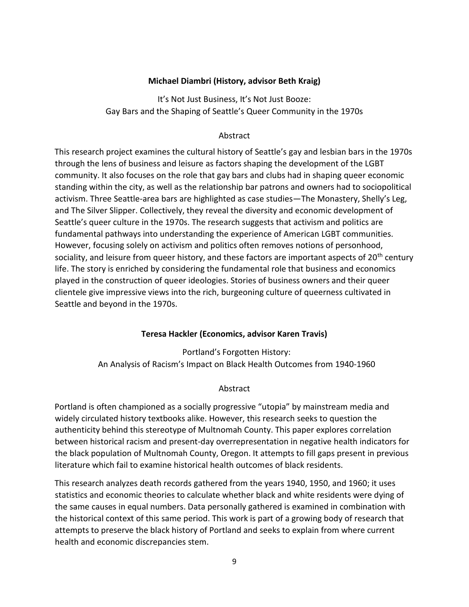### **Michael Diambri (History, advisor Beth Kraig)**

It's Not Just Business, It's Not Just Booze: Gay Bars and the Shaping of Seattle's Queer Community in the 1970s

#### Abstract

This research project examines the cultural history of Seattle's gay and lesbian bars in the 1970s through the lens of business and leisure as factors shaping the development of the LGBT community. It also focuses on the role that gay bars and clubs had in shaping queer economic standing within the city, as well as the relationship bar patrons and owners had to sociopolitical activism. Three Seattle-area bars are highlighted as case studies—The Monastery, Shelly's Leg, and The Silver Slipper. Collectively, they reveal the diversity and economic development of Seattle's queer culture in the 1970s. The research suggests that activism and politics are fundamental pathways into understanding the experience of American LGBT communities. However, focusing solely on activism and politics often removes notions of personhood, sociality, and leisure from queer history, and these factors are important aspects of  $20<sup>th</sup>$  century life. The story is enriched by considering the fundamental role that business and economics played in the construction of queer ideologies. Stories of business owners and their queer clientele give impressive views into the rich, burgeoning culture of queerness cultivated in Seattle and beyond in the 1970s.

### **Teresa Hackler (Economics, advisor Karen Travis)**

Portland's Forgotten History: An Analysis of Racism's Impact on Black Health Outcomes from 1940-1960

#### Abstract

Portland is often championed as a socially progressive "utopia" by mainstream media and widely circulated history textbooks alike. However, this research seeks to question the authenticity behind this stereotype of Multnomah County. This paper explores correlation between historical racism and present-day overrepresentation in negative health indicators for the black population of Multnomah County, Oregon. It attempts to fill gaps present in previous literature which fail to examine historical health outcomes of black residents.

This research analyzes death records gathered from the years 1940, 1950, and 1960; it uses statistics and economic theories to calculate whether black and white residents were dying of the same causes in equal numbers. Data personally gathered is examined in combination with the historical context of this same period. This work is part of a growing body of research that attempts to preserve the black history of Portland and seeks to explain from where current health and economic discrepancies stem.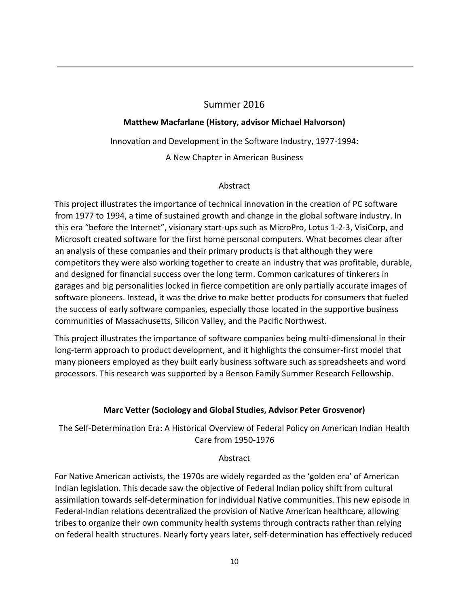# Summer 2016

# **Matthew Macfarlane (History, advisor Michael Halvorson)**

Innovation and Development in the Software Industry, 1977-1994:

A New Chapter in American Business

## Abstract

This project illustrates the importance of technical innovation in the creation of PC software from 1977 to 1994, a time of sustained growth and change in the global software industry. In this era "before the Internet", visionary start-ups such as MicroPro, Lotus 1-2-3, VisiCorp, and Microsoft created software for the first home personal computers. What becomes clear after an analysis of these companies and their primary products is that although they were competitors they were also working together to create an industry that was profitable, durable, and designed for financial success over the long term. Common caricatures of tinkerers in garages and big personalities locked in fierce competition are only partially accurate images of software pioneers. Instead, it was the drive to make better products for consumers that fueled the success of early software companies, especially those located in the supportive business communities of Massachusetts, Silicon Valley, and the Pacific Northwest.

This project illustrates the importance of software companies being multi-dimensional in their long-term approach to product development, and it highlights the consumer-first model that many pioneers employed as they built early business software such as spreadsheets and word processors. This research was supported by a Benson Family Summer Research Fellowship.

# **Marc Vetter (Sociology and Global Studies, Advisor Peter Grosvenor)**

The Self-Determination Era: A Historical Overview of Federal Policy on American Indian Health Care from 1950-1976

# Abstract

For Native American activists, the 1970s are widely regarded as the 'golden era' of American Indian legislation. This decade saw the objective of Federal Indian policy shift from cultural assimilation towards self-determination for individual Native communities. This new episode in Federal-Indian relations decentralized the provision of Native American healthcare, allowing tribes to organize their own community health systems through contracts rather than relying on federal health structures. Nearly forty years later, self-determination has effectively reduced